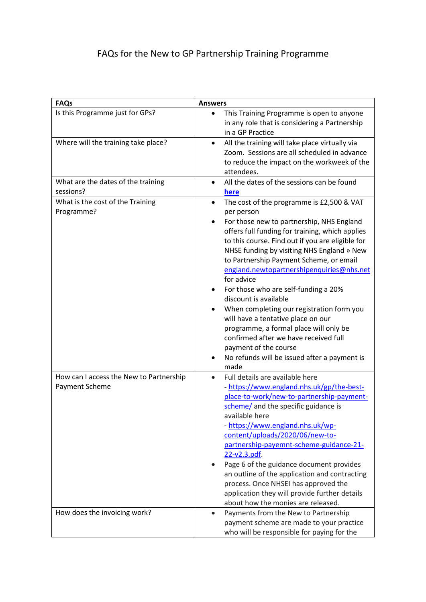## FAQs for the New to GP Partnership Training Programme

| <b>FAQs</b>                                               | <b>Answers</b>                                                                                                                                                                                                                                                                                                                                                                                                                                                                                                                                                                                                                                                                                                         |
|-----------------------------------------------------------|------------------------------------------------------------------------------------------------------------------------------------------------------------------------------------------------------------------------------------------------------------------------------------------------------------------------------------------------------------------------------------------------------------------------------------------------------------------------------------------------------------------------------------------------------------------------------------------------------------------------------------------------------------------------------------------------------------------------|
| Is this Programme just for GPs?                           | This Training Programme is open to anyone<br>$\bullet$<br>in any role that is considering a Partnership<br>in a GP Practice                                                                                                                                                                                                                                                                                                                                                                                                                                                                                                                                                                                            |
| Where will the training take place?                       | All the training will take place virtually via<br>$\bullet$<br>Zoom. Sessions are all scheduled in advance<br>to reduce the impact on the workweek of the<br>attendees.                                                                                                                                                                                                                                                                                                                                                                                                                                                                                                                                                |
| What are the dates of the training<br>sessions?           | All the dates of the sessions can be found<br>$\bullet$<br>here                                                                                                                                                                                                                                                                                                                                                                                                                                                                                                                                                                                                                                                        |
| What is the cost of the Training<br>Programme?            | The cost of the programme is £2,500 & VAT<br>$\bullet$<br>per person<br>For those new to partnership, NHS England<br>$\bullet$<br>offers full funding for training, which applies<br>to this course. Find out if you are eligible for<br>NHSE funding by visiting NHS England » New<br>to Partnership Payment Scheme, or email<br>england.newtopartnershipenquiries@nhs.net<br>for advice<br>For those who are self-funding a 20%<br>٠<br>discount is available<br>When completing our registration form you<br>will have a tentative place on our<br>programme, a formal place will only be<br>confirmed after we have received full<br>payment of the course<br>No refunds will be issued after a payment is<br>made |
| How can I access the New to Partnership<br>Payment Scheme | Full details are available here<br>$\bullet$<br>- https://www.england.nhs.uk/gp/the-best-<br>place-to-work/new-to-partnership-payment-<br>scheme/ and the specific guidance is<br>available here<br>- https://www.england.nhs.uk/wp-<br>content/uploads/2020/06/new-to-<br>partnership-payemnt-scheme-guidance-21-<br>22-v2.3.pdf.<br>Page 6 of the guidance document provides<br>an outline of the application and contracting<br>process. Once NHSEI has approved the<br>application they will provide further details<br>about how the monies are released.                                                                                                                                                         |
| How does the invoicing work?                              | Payments from the New to Partnership<br>$\bullet$<br>payment scheme are made to your practice<br>who will be responsible for paying for the                                                                                                                                                                                                                                                                                                                                                                                                                                                                                                                                                                            |